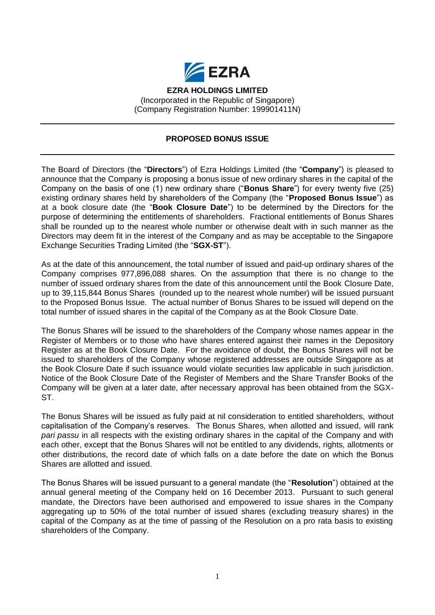

## **PROPOSED BONUS ISSUE**

The Board of Directors (the "**Directors**") of Ezra Holdings Limited (the "**Company**") is pleased to announce that the Company is proposing a bonus issue of new ordinary shares in the capital of the Company on the basis of one (1) new ordinary share ("**Bonus Share**") for every twenty five (25) existing ordinary shares held by shareholders of the Company (the "**Proposed Bonus Issue**") as at a book closure date (the "**Book Closure Date**") to be determined by the Directors for the purpose of determining the entitlements of shareholders. Fractional entitlements of Bonus Shares shall be rounded up to the nearest whole number or otherwise dealt with in such manner as the Directors may deem fit in the interest of the Company and as may be acceptable to the Singapore Exchange Securities Trading Limited (the "**SGX-ST**").

As at the date of this announcement, the total number of issued and paid-up ordinary shares of the Company comprises 977,896,088 shares. On the assumption that there is no change to the number of issued ordinary shares from the date of this announcement until the Book Closure Date, up to 39,115,844 Bonus Shares (rounded up to the nearest whole number) will be issued pursuant to the Proposed Bonus Issue. The actual number of Bonus Shares to be issued will depend on the total number of issued shares in the capital of the Company as at the Book Closure Date.

The Bonus Shares will be issued to the shareholders of the Company whose names appear in the Register of Members or to those who have shares entered against their names in the Depository Register as at the Book Closure Date. For the avoidance of doubt, the Bonus Shares will not be issued to shareholders of the Company whose registered addresses are outside Singapore as at the Book Closure Date if such issuance would violate securities law applicable in such jurisdiction. Notice of the Book Closure Date of the Register of Members and the Share Transfer Books of the Company will be given at a later date, after necessary approval has been obtained from the SGX-ST.

The Bonus Shares will be issued as fully paid at nil consideration to entitled shareholders, without capitalisation of the Company's reserves. The Bonus Shares, when allotted and issued, will rank *pari passu* in all respects with the existing ordinary shares in the capital of the Company and with each other, except that the Bonus Shares will not be entitled to any dividends, rights, allotments or other distributions, the record date of which falls on a date before the date on which the Bonus Shares are allotted and issued.

The Bonus Shares will be issued pursuant to a general mandate (the "**Resolution**") obtained at the annual general meeting of the Company held on 16 December 2013. Pursuant to such general mandate, the Directors have been authorised and empowered to issue shares in the Company aggregating up to 50% of the total number of issued shares (excluding treasury shares) in the capital of the Company as at the time of passing of the Resolution on a pro rata basis to existing shareholders of the Company.